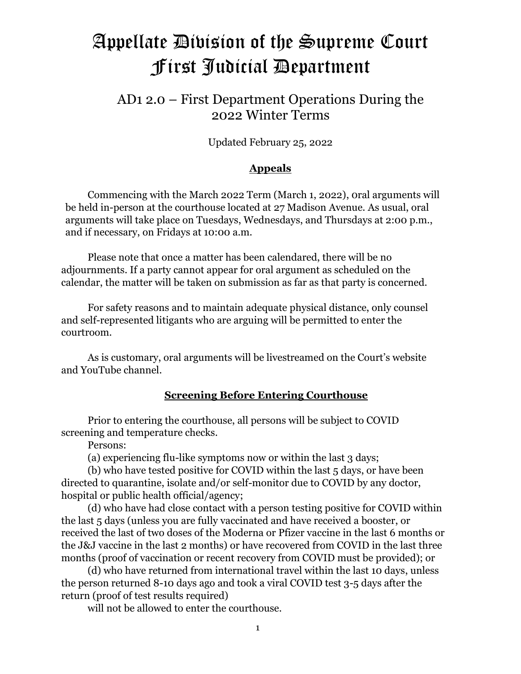# Appellate Division of the Supreme Court First Judicial Department

# AD1 2.0 – First Department Operations During the 2022 Winter Terms

Updated February 25, 2022

# **Appeals**

Commencing with the March 2022 Term (March 1, 2022), 0ral arguments will be held in-person at the courthouse located at 27 Madison Avenue. As usual, oral arguments will take place on Tuesdays, Wednesdays, and Thursdays at 2:00 p.m., and if necessary, on Fridays at 10:00 a.m.

Please note that once a matter has been calendared, there will be no adjournments. If a party cannot appear for oral argument as scheduled on the calendar, the matter will be taken on submission as far as that party is concerned.

For safety reasons and to maintain adequate physical distance, only counsel and self-represented litigants who are arguing will be permitted to enter the courtroom.

As is customary, oral arguments will be livestreamed on the Court's website and YouTube channel.

# **Screening Before Entering Courthouse**

Prior to entering the courthouse, all persons will be subject to COVID screening and temperature checks.

Persons:

(a) experiencing flu-like symptoms now or within the last 3 days;

(b) who have tested positive for COVID within the last 5 days, or have been directed to quarantine, isolate and/or self-monitor due to COVID by any doctor, hospital or public health official/agency;

(d) who have had close contact with a person testing positive for COVID within the last 5 days (unless you are fully vaccinated and have received a booster, or received the last of two doses of the Moderna or Pfizer vaccine in the last 6 months or the J&J vaccine in the last 2 months) or have recovered from COVID in the last three months (proof of vaccination or recent recovery from COVID must be provided); or

(d) who have returned from international travel within the last 10 days, unless the person returned 8-10 days ago and took a viral COVID test 3-5 days after the return (proof of test results required)

will not be allowed to enter the courthouse.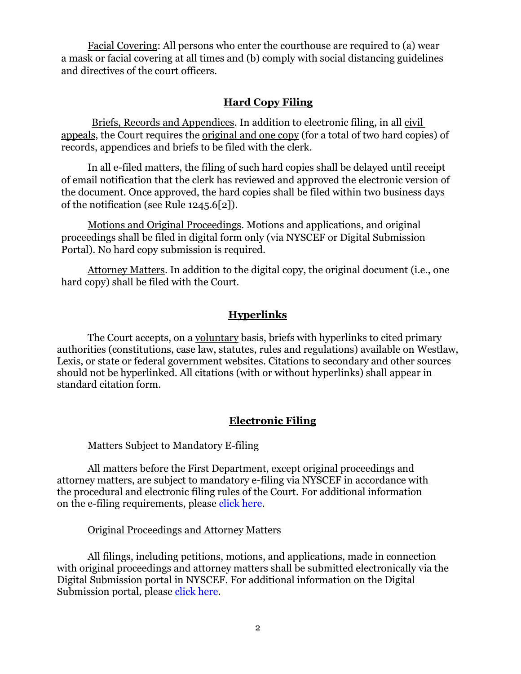Facial Covering: All persons who enter the courthouse are required to (a) wear a mask or facial covering at all times and (b) comply with social distancing guidelines and directives of the court officers.

### **Hard Copy Filing**

Briefs, Records and Appendices. In addition to electronic filing, in all civil appeals, the Court requires the original and one copy (for a total of two hard copies) of records, appendices and briefs to be filed with the clerk.

In all e-filed matters, the filing of such hard copies shall be delayed until receipt of email notification that the clerk has reviewed and approved the electronic version of the document. Once approved, the hard copies shall be filed within two business days of the notification (see Rule 1245.6[2]).

Motions and Original Proceedings. Motions and applications, and original proceedings shall be filed in digital form only (via NYSCEF or Digital Submission Portal). No hard copy submission is required.

Attorney Matters. In addition to the digital copy, the original document (i.e., one hard copy) shall be filed with the Court.

#### **Hyperlinks**

The Court accepts, on a voluntary basis, briefs with hyperlinks to cited primary authorities (constitutions, case law, statutes, rules and regulations) available on Westlaw, Lexis, or state or federal government websites. Citations to secondary and other sources should not be hyperlinked. All citations (with or without hyperlinks) shall appear in standard citation form.

#### **Electronic Filing**

#### Matters Subject to Mandatory E-filing

All matters before the First Department, except original proceedings and attorney matters, are subject to mandatory e-filing via NYSCEF in accordance with the procedural and electronic filing rules of the Court. For additional information on the e-filing requirements, please [click here.](http://www.nycourts.gov/courts/ad1/e-filing/efiling.shtml)

#### Original Proceedings and Attorney Matters

All filings, including petitions, motions, and applications, made in connection with original proceedings and attorney matters shall be submitted electronically via the Digital Submission portal in NYSCEF. For additional information on the Digital Submission portal, please [click here.](http://www.nycourts.gov/courts/ad1/DigitalSubmission/index.shtml)